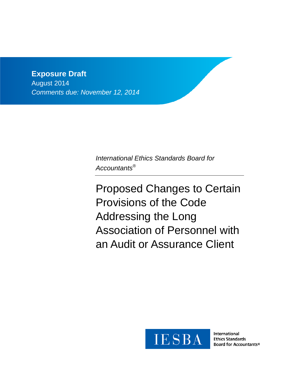# **Exposure Draft**

August 2014 *Comments due: November 12, 2014*

> *International Ethics Standards Board for Accountants®*

Proposed Changes to Certain Provisions of the Code Addressing the Long Association of Personnel with an Audit or Assurance Client



International **Ethics Standards** Board for Accountants®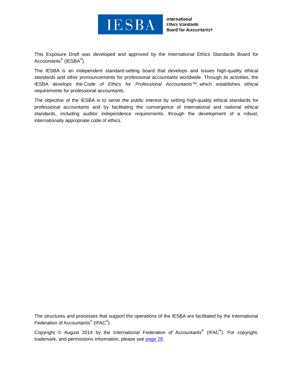

International **Ethics Standards Board for Accountants®** 

This Exposure Draft was developed and approved by the [International Ethics Standards Board for](http://www.ifac.org/ethics)  [Accountants](http://www.ifac.org/ethics)<sup>®</sup> (IESBA<sup>®</sup>).

The IESBA is an independent standard-setting board that develops and issues high-quality ethical standards and other pronouncements for professional accountants worldwide. Through its activities, the IESBA develops the *Code of Ethics for Professional Accountants™*, which establishes ethical requirements for professional accountants.

The objective of the IESBA is to serve the public interest by setting high-quality ethical standards for professional accountants and by facilitating the convergence of international and national ethical standards, including auditor independence requirements, through the development of a robust, internationally appropriate code of ethics.

The structures and processes that support the operations of the IESBA are facilitated by the International Federation of Accountants<sup>®</sup> (IFAC<sup>®</sup>).

Copyright © August 2014 by the International Federation of Accountants<sup>®</sup> (IFAC<sup>®</sup>). For copyright, trademark, and permissions information, please see [page 28.](#page-27-0)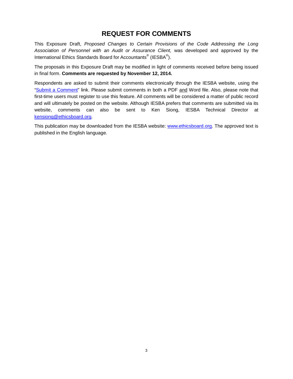# **REQUEST FOR COMMENTS**

This Exposure Draft, *Proposed Changes to Certain Provisions of the Code Addressing the Long Association of Personnel with an Audit or Assurance Client,* was developed and approved by the International Ethics Standards Board for Accountants® (IESBA®).

The proposals in this Exposure Draft may be modified in light of comments received before being issued in final form. **Comments are requested by November 12, 2014.**

Respondents are asked to submit their comments electronically through the IESBA website, using the ["Submit a Comment"](https://www.ifac.org/publications-resources/proposed-changes-certain-provisions-code-addressing-long-association-personne) link. Please submit comments in both a PDF and Word file. Also, please note that first-time users must register to use this feature. All comments will be considered a matter of public record and will ultimately be posted on the website. Although IESBA prefers that comments are submitted via its website, comments can also be sent to Ken Siong, IESBA Technical Director at [kensiong@ethicsboard.org.](mailto:kensiong@ethicsboard.org)

This publication may be downloaded from the IESBA website: [www.ethicsboard.org.](http://www.ethicsboard.org/) The approved text is published in the English language.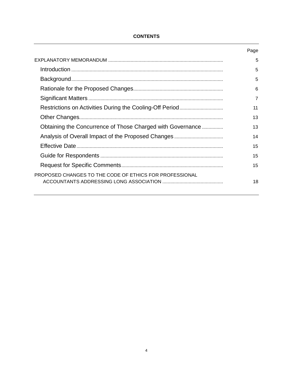## **CONTENTS**

|                                                            | Page |
|------------------------------------------------------------|------|
|                                                            | 5    |
|                                                            | 5    |
|                                                            | 5    |
|                                                            | 6    |
|                                                            | 7    |
|                                                            | 11   |
|                                                            | 13   |
| Obtaining the Concurrence of Those Charged with Governance | 13   |
|                                                            | 14   |
|                                                            | 15   |
|                                                            | 15   |
|                                                            | 15   |
| PROPOSED CHANGES TO THE CODE OF ETHICS FOR PROFESSIONAL    | 18   |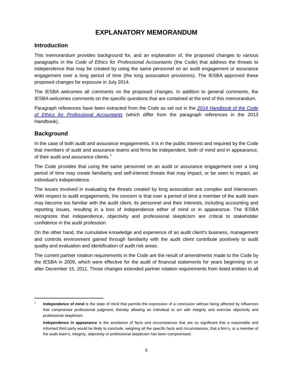# **EXPLANATORY MEMORANDUM**

# <span id="page-4-1"></span><span id="page-4-0"></span>**Introduction**

This memorandum provides background for, and an explanation of, the proposed changes to various paragraphs in the *Code of Ethics for Professional Accountants* (the Code) that address the threats to independence that may be created by using the same personnel on an audit engagement or assurance engagement over a long period of time (the long association provisions). The IESBA approved these proposed changes for exposure in July 2014.

The IESBA welcomes all comments on the proposed changes. In addition to general comments, the IESBA welcomes comments on the specific questions that are contained at the end of this memorandum.

Paragraph references have been extracted from the Code as set out in the *[2014 Handbook of the Code](https://www.ifac.org/publications-resources/2014-handbook-code-ethics-professional-accountants)  [of Ethics for Professional Accountants](https://www.ifac.org/publications-resources/2014-handbook-code-ethics-professional-accountants)* (which differ from the paragraph references in the 2013 Handbook).

# <span id="page-4-2"></span>**Background**

 $\overline{\phantom{a}}$ 

In the case of both audit and assurance engagements, it is in the public interest and required by the Code that members of audit and assurance teams and firms be independent, both of mind and in appearance, of their audit and assurance clients.<sup>[1](#page-4-3)</sup>

The Code provides that using the same personnel on an audit or assurance engagement over a long period of time may create familiarity and self-interest threats that may impact, or be seen to impact, an individual's independence.

The issues involved in evaluating the threats created by long association are complex and interwoven. With respect to audit engagements, the concern is that over a period of time a member of the audit team may become too familiar with the audit client, its personnel and their interests, including accounting and reporting issues, resulting in a loss of independence either of mind or in appearance. The IESBA recognizes that independence, objectivity and professional skepticism are critical to stakeholder confidence in the audit profession.

On the other hand, the cumulative knowledge and experience of an audit client's business, management and controls environment gained through familiarity with the audit client contribute positively to audit quality and evaluation and identification of audit risk areas.

The current partner rotation requirements in the Code are the result of amendments made to the Code by the IESBA in 2009, which were effective for the audit of financial statements for years beginning on or after December 15, 2011. Those changes extended partner rotation requirements from listed entities to all

<span id="page-4-3"></span>Independence of mind is the state of mind that permits the expression of a conclusion without being affected by influences that compromise professional judgment, thereby allowing an individual to act with integrity and exercise objectivity and professional skepticism.

**Independence in appearance** is the avoidance of facts and circumstances that are so significant that a reasonable and informed third party would be likely to conclude, weighing all the specific facts and circumstances, that a firm's, or a member of the audit team's, integrity, objectivity or professional skepticism has been compromised.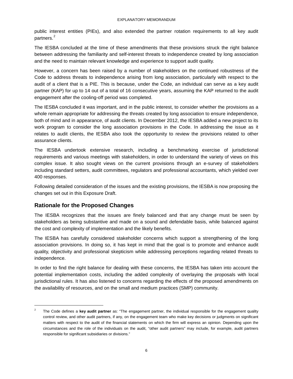public interest entities (PIEs), and also extended the partner rotation requirements to all key audit partners.<sup>[2](#page-5-1)</sup>

The IESBA concluded at the time of these amendments that these provisions struck the right balance between addressing the familiarity and self-interest threats to independence created by long association and the need to maintain relevant knowledge and experience to support audit quality.

However, a concern has been raised by a number of stakeholders on the continued robustness of the Code to address threats to independence arising from long association, particularly with respect to the audit of a client that is a PIE. This is because, under the Code, an individual can serve as a key audit partner (KAP) for up to 14 out of a total of 16 consecutive years, assuming the KAP returned to the audit engagement after the cooling-off period was completed.

The IESBA concluded it was important, and in the public interest, to consider whether the provisions as a whole remain appropriate for addressing the threats created by long association to ensure independence, both of mind and in appearance, of audit clients. In December 2012, the IESBA added a new project to its work program to consider the long association provisions in the Code. In addressing the issue as it relates to audit clients, the IESBA also took the opportunity to review the provisions related to other assurance clients.

The IESBA undertook extensive research, including a benchmarking exercise of jurisdictional requirements and various meetings with stakeholders, in order to understand the variety of views on this complex issue. It also sought views on the current provisions through an e-survey of stakeholders including standard setters, audit committees, regulators and professional accountants, which yielded over 400 responses.

Following detailed consideration of the issues and the existing provisions, the IESBA is now proposing the changes set out in this Exposure Draft.

# <span id="page-5-0"></span>**Rationale for the Proposed Changes**

 $\overline{\phantom{a}}$ 

The IESBA recognizes that the issues are finely balanced and that any change must be seen by stakeholders as being substantive and made on a sound and defendable basis, while balanced against the cost and complexity of implementation and the likely benefits.

The IESBA has carefully considered stakeholder concerns which support a strengthening of the long association provisions. In doing so, it has kept in mind that the goal is to promote and enhance audit quality, objectivity and professional skepticism while addressing perceptions regarding related threats to independence.

In order to find the right balance for dealing with these concerns, the IESBA has taken into account the potential implementation costs, including the added complexity of overlaying the proposals with local jurisdictional rules. It has also listened to concerns regarding the effects of the proposed amendments on the availability of resources, and on the small and medium practices (SMP) community.

<span id="page-5-1"></span><sup>2</sup> The Code defines a **key audit partner** as: "The engagement partner, the individual responsible for the engagement quality control review, and other audit partners, if any, on the engagement team who make key decisions or judgments on significant matters with respect to the audit of the financial statements on which the firm will express an opinion. Depending upon the circumstances and the role of the individuals on the audit, "other audit partners" may include, for example, audit partners responsible for significant subsidiaries or divisions."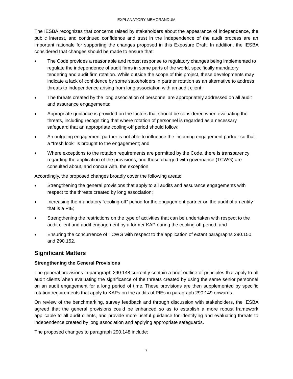The IESBA recognizes that concerns raised by stakeholders about the appearance of independence, the public interest, and continued confidence and trust in the independence of the audit process are an important rationale for supporting the changes proposed in this Exposure Draft. In addition, the IESBA considered that changes should be made to ensure that:

- The Code provides a reasonable and robust response to regulatory changes being implemented to regulate the independence of audit firms in some parts of the world, specifically mandatory tendering and audit firm rotation. While outside the scope of this project, these developments may indicate a lack of confidence by some stakeholders in partner rotation as an alternative to address threats to independence arising from long association with an audit client;
- The threats created by the long association of personnel are appropriately addressed on all audit and assurance engagements;
- Appropriate guidance is provided on the factors that should be considered when evaluating the threats, including recognizing that where rotation of personnel is regarded as a necessary safeguard that an appropriate cooling-off period should follow;
- An outgoing engagement partner is not able to influence the incoming engagement partner so that a "fresh look" is brought to the engagement; and
- Where exceptions to the rotation requirements are permitted by the Code, there is transparency regarding the application of the provisions, and those charged with governance (TCWG) are consulted about, and concur with, the exception.

Accordingly, the proposed changes broadly cover the following areas:

- Strengthening the general provisions that apply to all audits and assurance engagements with respect to the threats created by long association;
- Increasing the mandatory "cooling-off" period for the engagement partner on the audit of an entity that is a PIE;
- Strengthening the restrictions on the type of activities that can be undertaken with respect to the audit client and audit engagement by a former KAP during the cooling-off period; and
- Ensuring the concurrence of TCWG with respect to the application of extant paragraphs 290.150 and 290.152.

# <span id="page-6-0"></span>**Significant Matters**

## **Strengthening the General Provisions**

The general provisions in paragraph 290.148 currently contain a brief outline of principles that apply to all audit clients when evaluating the significance of the threats created by using the same senior personnel on an audit engagement for a long period of time. These provisions are then supplemented by specific rotation requirements that apply to KAPs on the audits of PIEs in paragraph 290.149 onwards.

On review of the benchmarking, survey feedback and through discussion with stakeholders, the IESBA agreed that the general provisions could be enhanced so as to establish a more robust framework applicable to all audit clients, and provide more useful guidance for identifying and evaluating threats to independence created by long association and applying appropriate safeguards.

The proposed changes to paragraph 290.148 include: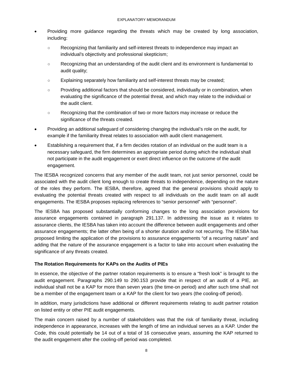- Providing more guidance regarding the threats which may be created by long association, including:
	- Recognizing that familiarity and self-interest threats to independence may impact an individual's objectivity and professional skepticism;
	- Recognizing that an understanding of the audit client and its environment is fundamental to audit quality;
	- Explaining separately how familiarity and self-interest threats may be created;
	- Providing additional factors that should be considered, individually or in combination, when evaluating the significance of the potential threat, and which may relate to the individual or the audit client.
	- Recognizing that the combination of two or more factors may increase or reduce the significance of the threats created.
- Providing an additional safeguard of considering changing the individual's role on the audit, for example if the familiarity threat relates to association with audit client management.
- Establishing a requirement that, if a firm decides rotation of an individual on the audit team is a necessary safeguard, the firm determines an appropriate period during which the individual shall not participate in the audit engagement or exert direct influence on the outcome of the audit engagement.

The IESBA recognized concerns that any member of the audit team, not just senior personnel, could be associated with the audit client long enough to create threats to independence, depending on the nature of the roles they perform. The IESBA, therefore, agreed that the general provisions should apply to evaluating the potential threats created with respect to all individuals on the audit team on all audit engagements. The IESBA proposes replacing references to "senior personnel" with "personnel".

The IESBA has proposed substantially conforming changes to the long association provisions for assurance engagements contained in paragraph 291.137. In addressing the issue as it relates to assurance clients, the IESBA has taken into account the difference between audit engagements and other assurance engagements; the latter often being of a shorter duration and/or not recurring. The IESBA has proposed limiting the application of the provisions to assurance engagements "of a recurring nature" and adding that the nature of the assurance engagement is a factor to take into account when evaluating the significance of any threats created.

#### **The Rotation Requirements for KAPs on the Audits of PIEs**

In essence, the objective of the partner rotation requirements is to ensure a "fresh look" is brought to the audit engagement. Paragraphs 290.149 to 290.153 provide that in respect of an audit of a PIE, an individual shall not be a KAP for more than seven years (the time-on period) and after such time shall not be a member of the engagement team or a KAP for the client for two years (the cooling-off period).

In addition, many jurisdictions have additional or different requirements relating to audit partner rotation on listed entity or other PIE audit engagements.

The main concern raised by a number of stakeholders was that the risk of familiarity threat, including independence in appearance, increases with the length of time an individual serves as a KAP. Under the Code, this could potentially be 14 out of a total of 16 consecutive years, assuming the KAP returned to the audit engagement after the cooling-off period was completed.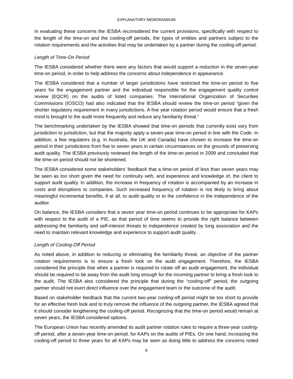In evaluating these concerns the IESBA reconsidered the current provisions, specifically with respect to the length of the time-on and the cooling-off periods, the types of entities and partners subject to the rotation requirements and the activities that may be undertaken by a partner during the cooling-off period.

#### *Length of Time-On Period*

The IESBA considered whether there were any factors that would support a reduction in the seven-year time-on period, in order to help address the concerns about independence in appearance.

The IESBA considered that a number of larger jurisdictions have restricted the time-on period to five years for the engagement partner and the individual responsible for the engagement quality control review (EQCR) on the audits of listed companies. The International Organization of Securities Commissions (IOSCO) had also indicated that the IESBA should review the time-on period "given the shorter regulatory requirement in many jurisdictions. A five year rotation period would ensure that a fresh mind is brought to the audit more frequently and reduce any familiarity threat."

The benchmarking undertaken by the IESBA showed that time-on periods that currently exist vary from jurisdiction to jurisdiction, but that the majority apply a seven-year time-on period in line with the Code. In addition, a few regulators (e.g. in Australia, the UK and Canada) have chosen to increase the time-on period in their jurisdictions from five to seven years in certain circumstances on the grounds of preserving audit quality. The IESBA previously reviewed the length of the time-on period in 2009 and concluded that the time-on period should not be shortened.

The IESBA considered some stakeholders' feedback that a time-on period of less than seven years may be seen as too short given the need for continuity with, and experience and knowledge of, the client to support audit quality. In addition, the increase in frequency of rotation is accompanied by an increase in costs and disruptions to companies. Such increased frequency of rotation is not likely to bring about meaningful incremental benefits, if at all, to audit quality or to the confidence in the independence of the auditor.

On balance, the IESBA considers that a seven year time-on period continues to be appropriate for KAPs with respect to the audit of a PIE, as that period of time seems to provide the right balance between addressing the familiarity and self-interest threats to independence created by long association and the need to maintain relevant knowledge and experience to support audit quality.

## *Length of Cooling-Off Period*

As noted above, in addition to reducing or eliminating the familiarity threat, an objective of the partner rotation requirements is to ensure a fresh look on the audit engagement. Therefore, the IESBA considered the principle that when a partner is required to rotate off an audit engagement, the individual should be required to be away from the audit long enough for the incoming partner to bring a fresh look to the audit. The IESBA also considered the principle that during the "cooling-off" period, the outgoing partner should not exert direct influence over the engagement team or the outcome of the audit.

Based on stakeholder feedback that the current two-year cooling-off period might be too short to provide for an effective fresh look and to truly remove the influence of the outgoing partner, the IESBA agreed that it should consider lengthening the cooling-off period. Recognizing that the time-on period would remain at seven years, the IESBA considered options.

The European Union has recently amended its audit partner rotation rules to require a three-year coolingoff period, after a seven-year time-on period, for KAPs on the audits of PIEs. On one hand, increasing the cooling-off period to three years for all KAPs may be seen as doing little to address the concerns noted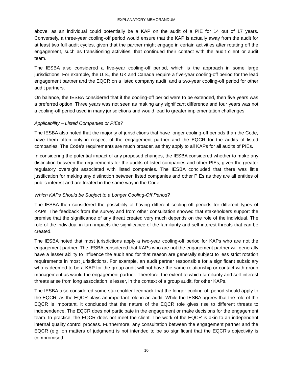#### EXPLANATORY MEMORANDUM

above, as an individual could potentially be a KAP on the audit of a PIE for 14 out of 17 years. Conversely, a three-year cooling-off period would ensure that the KAP is actually away from the audit for at least two full audit cycles, given that the partner might engage in certain activities after rotating off the engagement, such as transitioning activities, that continued their contact with the audit client or audit team.

The IESBA also considered a five-year cooling-off period, which is the approach in some large jurisdictions. For example, the U.S., the UK and Canada require a five-year cooling-off period for the lead engagement partner and the EQCR on a listed company audit, and a two-year cooling-off period for other audit partners.

On balance, the IESBA considered that if the cooling-off period were to be extended, then five years was a preferred option. Three years was not seen as making any significant difference and four years was not a cooling-off period used in many jurisdictions and would lead to greater implementation challenges.

## *Applicability – Listed Companies or PIEs?*

The IESBA also noted that the majority of jurisdictions that have longer cooling-off periods than the Code, have them often only in respect of the engagement partner and the EQCR for the audits of listed companies. The Code's requirements are much broader, as they apply to all KAPs for all audits of PIEs.

In considering the potential impact of any proposed changes, the IESBA considered whether to make any distinction between the requirements for the audits of listed companies and other PIEs, given the greater regulatory oversight associated with listed companies. The IESBA concluded that there was little justification for making any distinction between listed companies and other PIEs as they are all entities of public interest and are treated in the same way in the Code.

## *Which KAPs Should be Subject to a Longer Cooling-Off Period?*

The IESBA then considered the possibility of having different cooling-off periods for different types of KAPs. The feedback from the survey and from other consultation showed that stakeholders support the premise that the significance of any threat created very much depends on the role of the individual. The role of the individual in turn impacts the significance of the familiarity and self-interest threats that can be created.

The IESBA noted that most jurisdictions apply a two-year cooling-off period for KAPs who are not the engagement partner. The IESBA considered that KAPs who are not the engagement partner will generally have a lesser ability to influence the audit and for that reason are generally subject to less strict rotation requirements in most jurisdictions. For example, an audit partner responsible for a significant subsidiary who is deemed to be a KAP for the group audit will not have the same relationship or contact with group management as would the engagement partner. Therefore, the extent to which familiarity and self-interest threats arise from long association is lesser, in the context of a group audit, for other KAPs.

The IESBA also considered some stakeholder feedback that the longer cooling-off period should apply to the EQCR, as the EQCR plays an important role in an audit. While the IESBA agrees that the role of the EQCR is important, it concluded that the nature of the EQCR role gives rise to different threats to independence. The EQCR does not participate in the engagement or make decisions for the engagement team. In practice, the EQCR does not meet the client. The work of the EQCR is akin to an independent internal quality control process. Furthermore, any consultation between the engagement partner and the EQCR (e.g. on matters of judgment) is not intended to be so significant that the EQCR's objectivity is compromised.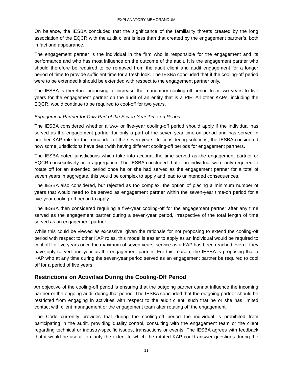On balance, the IESBA concluded that the significance of the familiarity threats created by the long association of the EQCR with the audit client is less than that created by the engagement partner's, both in fact and appearance.

The engagement partner is the individual in the firm who is responsible for the engagement and its performance and who has most influence on the outcome of the audit. It is the engagement partner who should therefore be required to be removed from the audit client and audit engagement for a longer period of time to provide sufficient time for a fresh look. The IESBA concluded that if the cooling-off period were to be extended it should be extended with respect to the engagement partner only.

The IESBA is therefore proposing to increase the mandatory cooling-off period from two years to five years for the engagement partner on the audit of an entity that is a PIE. All other KAPs, including the EQCR, would continue to be required to cool-off for two years.

#### *Engagement Partner for Only Part of the Seven-Year Time-on Period*

The IESBA considered whether a two- or five-year cooling-off period should apply if the individual has served as the engagement partner for only a part of the seven-year time-on period and has served in another KAP role for the remainder of the seven years. In considering solutions, the IESBA considered how some jurisdictions have dealt with having different cooling-off periods for engagement partners.

The IESBA noted jurisdictions which take into account the time served as the engagement partner or EQCR consecutively or in aggregation. The IESBA concluded that if an individual were only required to rotate off for an extended period once he or she had served as the engagement partner for a total of seven years in aggregate, this would be complex to apply and lead to unintended consequences.

The IESBA also considered, but rejected as too complex, the option of placing a minimum number of years that would need to be served as engagement partner within the seven-year time-on period for a five-year cooling-off period to apply.

The IESBA then considered requiring a five-year cooling-off for the engagement partner after any time served as the engagement partner during a seven-year period, irrespective of the total length of time served as an engagement partner.

While this could be viewed as excessive, given the rationale for not proposing to extend the cooling-off period with respect to other KAP roles, this model is easier to apply as an individual would be required to cool off for five years once the maximum of seven years' service as a KAP has been reached even if they have only served one year as the engagement partner. For this reason, the IESBA is proposing that a KAP who at any time during the seven-year period served as an engagement partner be required to cool off for a period of five years.

# <span id="page-10-0"></span>**Restrictions on Activities During the Cooling-Off Period**

An objective of the cooling-off period is ensuring that the outgoing partner cannot influence the incoming partner or the ongoing audit during that period. The IESBA concluded that the outgoing partner should be restricted from engaging in activities with respect to the audit client, such that he or she has limited contact with client management or the engagement team after rotating off the engagement.

The Code currently provides that during the cooling-off period the individual is prohibited from participating in the audit, providing quality control, consulting with the engagement team or the client regarding technical or industry-specific issues, transactions or events. The IESBA agrees with feedback that it would be useful to clarify the extent to which the rotated KAP could answer questions during the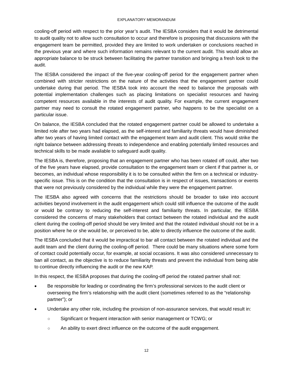cooling-off period with respect to the prior year's audit. The IESBA considers that it would be detrimental to audit quality not to allow such consultation to occur and therefore is proposing that discussions with the engagement team be permitted, provided they are limited to work undertaken or conclusions reached in the previous year and where such information remains relevant to the current audit. This would allow an appropriate balance to be struck between facilitating the partner transition and bringing a fresh look to the audit.

The IESBA considered the impact of the five-year cooling-off period for the engagement partner when combined with stricter restrictions on the nature of the activities that the engagement partner could undertake during that period. The IESBA took into account the need to balance the proposals with potential implementation challenges such as placing limitations on specialist resources and having competent resources available in the interests of audit quality. For example, the current engagement partner may need to consult the rotated engagement partner, who happens to be the specialist on a particular issue.

On balance, the IESBA concluded that the rotated engagement partner could be allowed to undertake a limited role after two years had elapsed, as the self-interest and familiarity threats would have diminished after two years of having limited contact with the engagement team and audit client. This would strike the right balance between addressing threats to independence and enabling potentially limited resources and technical skills to be made available to safeguard audit quality.

The IESBA is, therefore, proposing that an engagement partner who has been rotated off could, after two of the five years have elapsed, provide consultation to the engagement team or client if that partner is, or becomes, an individual whose responsibility it is to be consulted within the firm on a technical or industryspecific issue. This is on the condition that the consultation is in respect of issues, transactions or events that were not previously considered by the individual while they were the engagement partner.

The IESBA also agreed with concerns that the restrictions should be broader to take into account activities beyond involvement in the audit engagement which could still influence the outcome of the audit or would be contrary to reducing the self-interest and familiarity threats. In particular, the IESBA considered the concerns of many stakeholders that contact between the rotated individual and the audit client during the cooling-off period should be very limited and that the rotated individual should not be in a position where he or she would be, or perceived to be, able to directly influence the outcome of the audit.

The IESBA concluded that it would be impractical to bar all contact between the rotated individual and the audit team and the client during the cooling-off period. There could be many situations where some form of contact could potentially occur, for example, at social occasions. It was also considered unnecessary to ban all contact, as the objective is to reduce familiarity threats and prevent the individual from being able to continue directly influencing the audit or the new KAP.

In this respect, the IESBA proposes that during the cooling-off period the rotated partner shall not:

- Be responsible for leading or coordinating the firm's professional services to the audit client or overseeing the firm's relationship with the audit client (sometimes referred to as the "relationship partner"); or
- Undertake any other role, including the provision of non-assurance services, that would result in:
	- Significant or frequent interaction with senior management or TCWG; or
	- An ability to exert direct influence on the outcome of the audit engagement.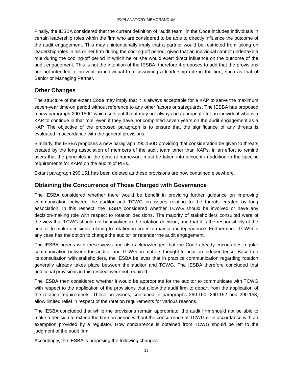Finally, the IESBA considered that the current definition of "audit team" in the Code includes individuals in certain leadership roles within the firm who are considered to be able to directly influence the outcome of the audit engagement. This may unintentionally imply that a partner would be restricted from taking on leadership roles in his or her firm during the cooling-off period, given that an individual cannot undertake a role during the cooling-off period in which he or she would exert direct influence on the outcome of the audit engagement. This is not the intention of the IESBA; therefore it proposes to add that the provisions are not intended to prevent an individual from assuming a leadership role in the firm, such as that of Senior or Managing Partner.

# <span id="page-12-0"></span>**Other Changes**

The structure of the extant Code may imply that it is always acceptable for a KAP to serve the maximum seven-year time-on period without reference to any other factors or safeguards. The IESBA has proposed a new paragraph 290.150C which sets out that it may not always be appropriate for an individual who is a KAP to continue in that role, even if they have not completed seven years on the audit engagement as a KAP. The objective of the proposed paragraph is to ensure that the significance of any threats is evaluated in accordance with the general provisions.

Similarly, the IESBA proposes a new paragraph 290.150D providing that consideration be given to threats created by the long association of members of the audit team other than KAPs, in an effort to remind users that the principles in the general framework must be taken into account in addition to the specific requirements for KAPs on the audits of PIEs.

<span id="page-12-1"></span>Extant paragraph 290.151 has been deleted as these provisions are now contained elsewhere.

# **Obtaining the Concurrence of Those Charged with Governance**

The IESBA considered whether there would be benefit in providing further guidance on improving communication between the auditor and TCWG on issues relating to the threats created by long association. In this respect, the IESBA considered whether TCWG should be involved or have any decision-making role with respect to rotation decisions. The majority of stakeholders consulted were of the view that TCWG should not be involved in the rotation decision, and that it is the responsibility of the auditor to make decisions relating to rotation in order to maintain independence. Furthermore, TCWG in any case has the option to change the auditor or retender the audit engagement.

The IESBA agrees with these views and also acknowledged that the Code already encourages regular communication between the auditor and TCWG on matters thought to bear on independence. Based on its consultation with stakeholders, the IESBA believes that in practice communication regarding rotation generally already takes place between the auditor and TCWG. The IESBA therefore concluded that additional provisions in this respect were not required.

The IESBA then considered whether it would be appropriate for the auditor to communicate with TCWG with respect to the application of the provisions that allow the audit firm to depart from the application of the rotation requirements. These provisions, contained in paragraphs 290.150, 290.152 and 290.153, allow limited relief in respect of the rotation requirements for various reasons.

The IESBA concluded that while the provisions remain appropriate, the audit firm should not be able to make a decision to extend the time-on period without the concurrence of TCWG or in accordance with an exemption provided by a regulator. How concurrence is obtained from TCWG should be left to the judgment of the audit firm.

Accordingly, the IESBA is proposing the following changes: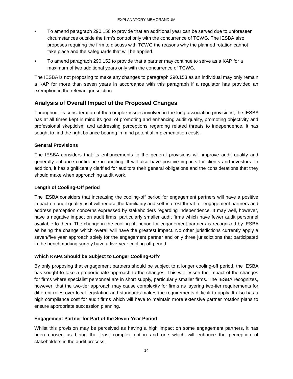- To amend paragraph 290.150 to provide that an additional year can be served due to unforeseen circumstances outside the firm's control only with the concurrence of TCWG. The IESBA also proposes requiring the firm to discuss with TCWG the reasons why the planned rotation cannot take place and the safeguards that will be applied.
- To amend paragraph 290.152 to provide that a partner may continue to serve as a KAP for a maximum of two additional years only with the concurrence of TCWG.

The IESBA is not proposing to make any changes to paragraph 290.153 as an individual may only remain a KAP for more than seven years in accordance with this paragraph if a regulator has provided an exemption in the relevant jurisdiction.

# <span id="page-13-0"></span>**Analysis of Overall Impact of the Proposed Changes**

Throughout its consideration of the complex issues involved in the long association provisions, the IESBA has at all times kept in mind its goal of promoting and enhancing audit quality, promoting objectivity and professional skepticism and addressing perceptions regarding related threats to independence. It has sought to find the right balance bearing in mind potential implementation costs.

## **General Provisions**

The IESBA considers that its enhancements to the general provisions will improve audit quality and generally enhance confidence in auditing. It will also have positive impacts for clients and investors. In addition, it has significantly clarified for auditors their general obligations and the considerations that they should make when approaching audit work.

## **Length of Cooling-Off period**

The IESBA considers that increasing the cooling-off period for engagement partners will have a positive impact on audit quality as it will reduce the familiarity and self-interest threat for engagement partners and address perception concerns expressed by stakeholders regarding independence. It may well, however, have a negative impact on audit firms, particularly smaller audit firms which have fewer audit personnel available to them. The change in the cooling-off period for engagement partners is recognized by IESBA as being the change which overall will have the greatest impact. No other jurisdictions currently apply a seven/five year approach solely for the engagement partner and only three jurisdictions that participated in the benchmarking survey have a five-year cooling-off period.

# **Which KAPs Should be Subject to Longer Cooling-Off?**

By only proposing that engagement partners should be subject to a longer cooling-off period, the IESBA has sought to take a proportionate approach to the changes. This will lessen the impact of the changes for firms where specialist personnel are in short supply, particularly smaller firms. The IESBA recognizes, however, that the two-tier approach may cause complexity for firms as layering two-tier requirements for different roles over local legislation and standards makes the requirements difficult to apply. It also has a high compliance cost for audit firms which will have to maintain more extensive partner rotation plans to ensure appropriate succession planning.

## **Engagement Partner for Part of the Seven-Year Period**

Whilst this provision may be perceived as having a high impact on some engagement partners, it has been chosen as being the least complex option and one which will enhance the perception of stakeholders in the audit process.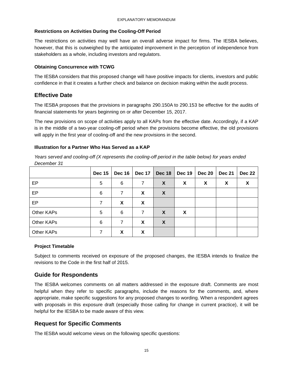## **Restrictions on Activities During the Cooling-Off Period**

The restrictions on activities may well have an overall adverse impact for firms. The IESBA believes, however, that this is outweighed by the anticipated improvement in the perception of independence from stakeholders as a whole, including investors and regulators.

#### **Obtaining Concurrence with TCWG**

The IESBA considers that this proposed change will have positive impacts for clients, investors and public confidence in that it creates a further check and balance on decision making within the audit process.

## <span id="page-14-0"></span>**Effective Date**

The IESBA proposes that the provisions in paragraphs 290.150A to 290.153 be effective for the audits of financial statements for years beginning on or after December 15, 2017.

The new provisions on scope of activities apply to all KAPs from the effective date. Accordingly, if a KAP is in the middle of a two-year cooling-off period when the provisions become effective, the old provisions will apply in the first year of cooling-off and the new provisions in the second.

## **Illustration for a Partner Who Has Served as a KAP**

*Years served and cooling-off (X represents the cooling-off period in the table below) for years ended December 31*

|                   | <b>Dec 15</b> | <b>Dec 16</b> | Dec 17 | Dec 18 | <b>Dec 19</b>             | <b>Dec 20</b> | <b>Dec 21</b> | <b>Dec 22</b> |
|-------------------|---------------|---------------|--------|--------|---------------------------|---------------|---------------|---------------|
| EP.               | 5             | 6             | 7      | X      | X                         | X             | X             | X             |
| EP                | 6             | 7             | X      | X      |                           |               |               |               |
| EP                | 7             | X             | X      |        |                           |               |               |               |
| Other KAPs        | 5             | 6             | 7      | X      | $\boldsymbol{\mathsf{X}}$ |               |               |               |
| Other KAPs        | 6             | 7             | X      | X      |                           |               |               |               |
| <b>Other KAPs</b> |               | X             | X      |        |                           |               |               |               |

## **Project Timetable**

Subject to comments received on exposure of the proposed changes, the IESBA intends to finalize the revisions to the Code in the first half of 2015.

# <span id="page-14-1"></span>**Guide for Respondents**

The IESBA welcomes comments on all matters addressed in the exposure draft. Comments are most helpful when they refer to specific paragraphs, include the reasons for the comments, and, where appropriate, make specific suggestions for any proposed changes to wording. When a respondent agrees with proposals in this exposure draft (especially those calling for change in current practice), it will be helpful for the IESBA to be made aware of this view.

# <span id="page-14-2"></span>**Request for Specific Comments**

The IESBA would welcome views on the following specific questions: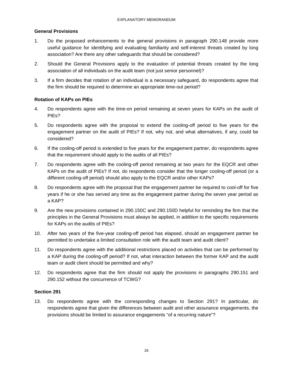#### **General Provisions**

- 1. Do the proposed enhancements to the general provisions in paragraph 290.148 provide more useful guidance for identifying and evaluating familiarity and self-interest threats created by long association? Are there any other safeguards that should be considered?
- 2. Should the General Provisions apply to the evaluation of potential threats created by the long association of all individuals on the audit team (not just senior personnel)?
- 3. If a firm decides that rotation of an individual is a necessary safeguard, do respondents agree that the firm should be required to determine an appropriate time-out period?

#### **Rotation of KAPs on PIEs**

- 4. Do respondents agree with the time-on period remaining at seven years for KAPs on the audit of PIEs?
- 5. Do respondents agree with the proposal to extend the cooling-off period to five years for the engagement partner on the audit of PIEs? If not, why not, and what alternatives, if any, could be considered?
- 6. If the cooling-off period is extended to five years for the engagement partner, do respondents agree that the requirement should apply to the audits of all PIEs?
- 7. Do respondents agree with the cooling-off period remaining at two years for the EQCR and other KAPs on the audit of PIEs? If not, do respondents consider that the longer cooling-off period (or a different cooling-off period) should also apply to the EQCR and/or other KAPs?
- 8. Do respondents agree with the proposal that the engagement partner be required to cool-off for five years if he or she has served any time as the engagement partner during the seven year period as a KAP?
- 9. Are the new provisions contained in 290.150C and 290.150D helpful for reminding the firm that the principles in the General Provisions must always be applied, in addition to the specific requirements for KAPs on the audits of PIEs?
- 10. After two years of the five-year cooling-off period has elapsed, should an engagement partner be permitted to undertake a limited consultation role with the audit team and audit client?
- 11. Do respondents agree with the additional restrictions placed on activities that can be performed by a KAP during the cooling-off period? If not, what interaction between the former KAP and the audit team or audit client should be permitted and why?
- 12. Do respondents agree that the firm should not apply the provisions in paragraphs 290.151 and 290.152 without the concurrence of TCWG?

#### **Section 291**

13. Do respondents agree with the corresponding changes to Section 291? In particular, do respondents agree that given the differences between audit and other assurance engagements, the provisions should be limited to assurance engagements "of a recurring nature"?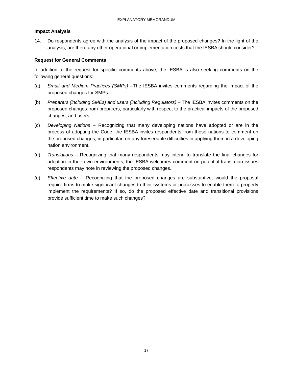#### **Impact Analysis**

14. Do respondents agree with the analysis of the impact of the proposed changes? In the light of the analysis, are there any other operational or implementation costs that the IESBA should consider?

#### **Request for General Comments**

In addition to the request for specific comments above, the IESBA is also seeking comments on the following general questions:

- (a) *Small and Medium Practices (SMPs) –*The IESBA invites comments regarding the impact of the proposed changes for SMPs.
- (b) *Preparers (including SMEs) and users (including Regulators) –* The IESBA invites comments on the proposed changes from preparers, particularly with respect to the practical impacts of the proposed changes, and users.
- (c) *Developing Nations –* Recognizing that many developing nations have adopted or are in the process of adopting the Code, the IESBA invites respondents from these nations to comment on the proposed changes, in particular, on any foreseeable difficulties in applying them in a developing nation environment.
- (d) *Translations –* Recognizing that many respondents may intend to translate the final changes for adoption in their own environments, the IESBA welcomes comment on potential translation issues respondents may note in reviewing the proposed changes.
- (e) *Effective date –* Recognizing that the proposed changes are substantive, would the proposal require firms to make significant changes to their systems or processes to enable them to properly implement the requirements? If so, do the proposed effective date and transitional provisions provide sufficient time to make such changes?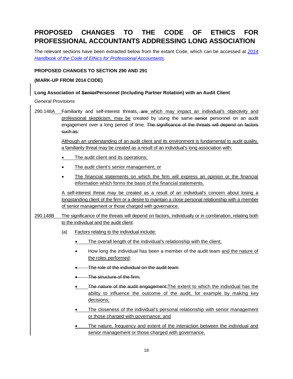# <span id="page-17-0"></span>**PROPOSED CHANGES TO THE CODE OF ETHICS FOR PROFESSIONAL ACCOUNTANTS ADDRESSING LONG ASSOCIATION**

The relevant sections have been extracted below from the extant Code, which can be accessed at *[2014](https://www.ifac.org/publications-resources/2014-handbook-code-ethics-professional-accountants)  [Handbook of the Code of Ethics for Professional Accountants](https://www.ifac.org/publications-resources/2014-handbook-code-ethics-professional-accountants)*.

## **PROPOSED CHANGES TO SECTION 290 AND 291**

#### **(MARK-UP FROM 2014 CODE)**

#### **Long Association of SeniorPersonnel (Including Partner Rotation) with an Audit Client**

*General Provisions*

290.148A Familiarity and self-interest threats, are which may impact an individual's objectivity and professional skepticism, may be created by using the same senior personnel on an audit engagement over a long period of time. The significance of the threats will depend on factors such as:

> Although an understanding of an audit client and its environment is fundamental to audit quality, a familiarity threat may be created as a result of an individual's long association with:

- The audit client and its operations;
- The audit client's senior management; or
- The financial statements on which the firm will express an opinion or the financial information which forms the basis of the financial statements.

A self-interest threat may be created as a result of an individual's concern about losing a longstanding client of the firm or a desire to maintain a close personal relationship with a member of senior management or those charged with governance.

- 290.148B The significance of the threats will depend on factors, individually or in combination, relating both to the individual and the audit client.
	- (a) Factors relating to the individual include:
		- The overall length of the individual's relationship with the client;
		- How long the individual has been a member of the audit team and the nature of the roles performed;
		- The role of the individual on the audit team
		- The structure of the firm:
		- The nature of the audit engagement; The extent to which the individual has the ability to influence the outcome of the audit, for example by making key decisions;
		- The closeness of the individual's personal relationship with senior management or those charged with governance; and
		- The nature, frequency and extent of the interaction between the individual and senior management or those charged with governance.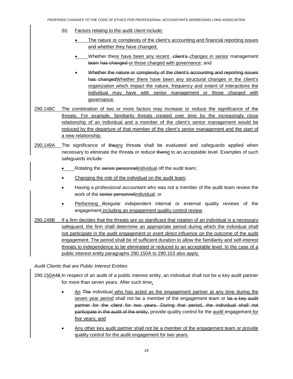- (b) Factors relating to the audit client include:
	- The nature or complexity of the client's accounting and financial reporting issues and whether they have changed;
	- Whether there have been any recent client's changes in senior management team has changed or those charged with governance; and
	- Whether the nature or complexity of the client's accounting and reporting issues has changedWhether there have been any structural changes in the client's organization which impact the nature, frequency and extent of interactions the individual may have with senior management or those charged with governance.
- 290.148C The combination of two or more factors may increase or reduce the significance of the threats. For example, familiarity threats created over time by the increasingly close relationship of an individual and a member of the client's senior management would be reduced by the departure of that member of the client's senior management and the start of a new relationship.
- 290.149A The significance of theany threats shall be evaluated and safeguards applied when necessary to eliminate the threats or reduce themit to an acceptable level. Examples of such safeguards include:
	- Rotating the senior personnelindividual off the audit team;
	- Changing the role of the individual on the audit team;
	- Having a professional accountant who was not a member of the audit team review the work of the senior personnelindividual; or
	- Performing Rregular independent internal or external quality reviews of the engagement including an engagement quality control review.
- 290.149B If a firm decides that the threats are so significant that rotation of an individual is a necessary safeguard, the firm shall determine an appropriate period during which the individual shall not participate in the audit engagement or exert direct influence on the outcome of the audit engagement. The period shall be of sufficient duration to allow the familiarity and self-interest threats to independence to be eliminated or reduced to an acceptable level. In the case of a public interest entity paragraphs 290.150A to 290.153 also apply.

#### *Audit Clients that are Public Interest Entities*

- 290.150A49 In respect of an audit of a public interest entity, an individual shall not be a key audit partner for more than seven years. After such time;
	- An The individual who has acted as the engagement partner at any time during the seven year period shall not be a member of the engagement team or be a key audit partner for the client for two years. During that period, the individual shall not participate in the audit of the entity, provide quality control for the audit engagement for five years; and
	- Any other key audit partner shall not be a member of the engagement team or provide quality control for the audit engagement for two years.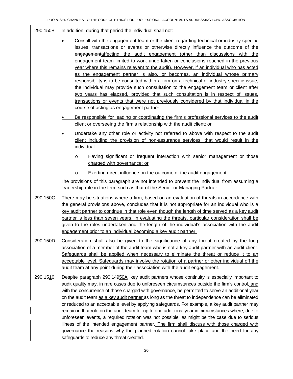#### 290.150B In addition, during that period the individual shall not:

- Consult with the engagement team or the client regarding technical or industry-specific issues, transactions or events or otherwise directly influence the outcome of the engagementaffecting the audit engagement (other than discussions with the engagement team limited to work undertaken or conclusions reached in the previous year where this remains relevant to the audit). However, if an individual who has acted as the engagement partner is also, or becomes, an individual whose primary responsibility is to be consulted within a firm on a technical or industry-specific issue, the individual may provide such consultation to the engagement team or client after two years has elapsed, provided that such consultation is in respect of issues, transactions or events that were not previously considered by that individual in the course of acting as engagement partner;
- Be responsible for leading or coordinating the firm's professional services to the audit client or overseeing the firm's relationship with the audit client; or
- Undertake any other role or activity not referred to above with respect to the audit client including the provision of non-assurance services, that would result in the individual:
	- o Having significant or frequent interaction with senior management or those charged with governance; or
	- o Exerting direct influence on the outcome of the audit engagement.

The provisions of this paragraph are not intended to prevent the individual from assuming a leadership role in the firm, such as that of the Senior or Managing Partner.

- 290.150C There may be situations where a firm, based on an evaluation of threats in accordance with the general provisions above, concludes that it is not appropriate for an individual who is a key audit partner to continue in that role even though the length of time served as a key audit partner is less than seven years. In evaluating the threats, particular consideration shall be given to the roles undertaken and the length of the individual's association with the audit engagement prior to an individual becoming a key audit partner.
- 290.150D Consideration shall also be given to the significance of any threat created by the long association of a member of the audit team who is not a key audit partner with an audit client. Safeguards shall be applied when necessary to eliminate the threat or reduce it to an acceptable level. Safeguards may involve the rotation of a partner or other individual off the audit team at any point during their association with the audit engagement.
- 290.1510 Despite paragraph 290.14950A, key audit partners whose continuity is especially important to audit quality may, in rare cases due to unforeseen circumstances outside the firm's control, and with the concurrence of those charged with governance, be permitted to serve an additional year on the audit team as a key audit partner as long as the threat to independence can be eliminated or reduced to an acceptable level by applying safeguards. For example, a key audit partner may remain in that role on the audit team for up to one additional year in circumstances where, due to unforeseen events, a required rotation was not possible, as might be the case due to serious illness of the intended engagement partner. The firm shall discuss with those charged with governance the reasons why the planned rotation cannot take place and the need for any safeguards to reduce any threat created.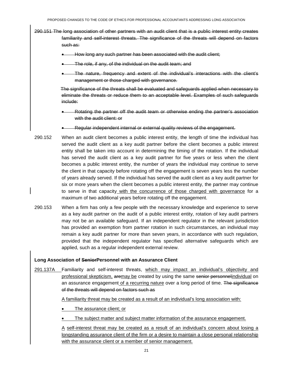- 290.151 The long association of other partners with an audit client that is a public interest entity creates familiarity and self-interest threats. The significance of the threats will depend on factors such as:
	- How long any such partner has been associated with the audit client;
	- The role, if any, of the individual on the audit team; and
	- The nature, frequency and extent of the individual's interactions with the client's management or those charged with governance.

The significance of the threats shall be evaluated and safeguards applied when necessary to eliminate the threats or reduce them to an acceptable level. Examples of such safeguards include:

- Rotating the partner off the audit team or otherwise ending the partner's association with the audit client: or
- Regular independent internal or external quality reviews of the engagement.
- 290.152 When an audit client becomes a public interest entity, the length of time the individual has served the audit client as a key audit partner before the client becomes a public interest entity shall be taken into account in determining the timing of the rotation. If the individual has served the audit client as a key audit partner for five years or less when the client becomes a public interest entity, the number of years the individual may continue to serve the client in that capacity before rotating off the engagement is seven years less the number of years already served. If the individual has served the audit client as a key audit partner for six or more years when the client becomes a public interest entity, the partner may continue to serve in that capacity with the concurrence of those charged with governance for a maximum of two additional years before rotating off the engagement.
- 290.153 When a firm has only a few people with the necessary knowledge and experience to serve as a key audit partner on the audit of a public interest entity, rotation of key audit partners may not be an available safeguard. If an independent regulator in the relevant jurisdiction has provided an exemption from partner rotation in such circumstances, an individual may remain a key audit partner for more than seven years, in accordance with such regulation, provided that the independent regulator has specified alternative safeguards which are applied, such as a regular independent external review.

#### **Long Association of SeniorPersonnel with an Assurance Client**

291.137A Familiarity and self-interest threats, which may impact an individual's objectivity and professional skepticism, aremay be created by using the same senior personnelindividual on an assurance engagement of a recurring nature over a long period of time. The significance of the threats will depend on factors such as

A familiarity threat may be created as a result of an individual's long association with:

- The assurance client; or
- The subject matter and subject matter information of the assurance engagement.

A self-interest threat may be created as a result of an individual's concern about losing a longstanding assurance client of the firm or a desire to maintain a close personal relationship with the assurance client or a member of senior management.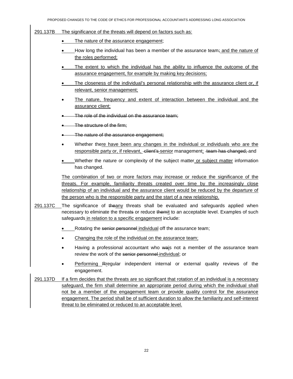#### 291.137B The significance of the threats will depend on factors such as:

- The nature of the assurance engagement;
- How long the individual has been a member of the assurance team; and the nature of the roles performed;
- The extent to which the individual has the ability to influence the outcome of the assurance engagement, for example by making key decisions;
- The closeness of the individual's personal relationship with the assurance client or, if relevant, senior management;
- The nature, frequency and extent of interaction between the individual and the assurance client;
- The role of the individual on the assurance team;
- The structure of the firm;
- The nature of the assurance engagement;
- Whether there have been any changes in the individual or individuals who are the responsible party or, if relevant, -dient's-senior management; -team has changed; and
- Whether the nature or complexity of the subject matter or subject matter information has changed.

The combination of two or more factors may increase or reduce the significance of the threats. For example, familiarity threats created over time by the increasingly close relationship of an individual and the assurance client would be reduced by the departure of the person who is the responsible party and the start of a new relationship.

- 291.137C The significance of theany threats shall be evaluated and safeguards applied when necessary to eliminate the threats or reduce themit to an acceptable level. Examples of such safeguards in relation to a specific engagement include:
	- Rotating the senior personnel individual off the assurance team;
	- Changing the role of the individual on the assurance team;
	- Having a professional accountant who wais not a member of the assurance team review the work of the senior personnel individual; or
	- Performing Rregular independent internal or external quality reviews of the engagement.
- 291.137D If a firm decides that the threats are so significant that rotation of an individual is a necessary safeguard, the firm shall determine an appropriate period during which the individual shall not be a member of the engagement team or provide quality control for the assurance engagement. The period shall be of sufficient duration to allow the familiarity and self-interest threat to be eliminated or reduced to an acceptable level.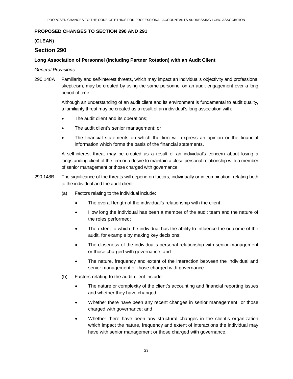#### **PROPOSED CHANGES TO SECTION 290 AND 291**

#### **(CLEAN)**

## **Section 290**

#### **Long Association of Personnel (Including Partner Rotation) with an Audit Client**

*General Provisions*

290.148A Familiarity and self-interest threats, which may impact an individual's objectivity and professional skepticism, may be created by using the same personnel on an audit engagement over a long period of time.

> Although an understanding of an audit client and its environment is fundamental to audit quality, a familiarity threat may be created as a result of an individual's long association with:

- The audit client and its operations;
- The audit client's senior management; or
- The financial statements on which the firm will express an opinion or the financial information which forms the basis of the financial statements.

A self-interest threat may be created as a result of an individual's concern about losing a longstanding client of the firm or a desire to maintain a close personal relationship with a member of senior management or those charged with governance.

- 290.148B The significance of the threats will depend on factors, individually or in combination, relating both to the individual and the audit client.
	- (a) Factors relating to the individual include:
		- The overall length of the individual's relationship with the client;
		- How long the individual has been a member of the audit team and the nature of the roles performed;
		- The extent to which the individual has the ability to influence the outcome of the audit, for example by making key decisions;
		- The closeness of the individual's personal relationship with senior management or those charged with governance; and
		- The nature, frequency and extent of the interaction between the individual and senior management or those charged with governance.
	- (b) Factors relating to the audit client include:
		- The nature or complexity of the client's accounting and financial reporting issues and whether they have changed;
		- Whether there have been any recent changes in senior management or those charged with governance; and
		- Whether there have been any structural changes in the client's organization which impact the nature, frequency and extent of interactions the individual may have with senior management or those charged with governance.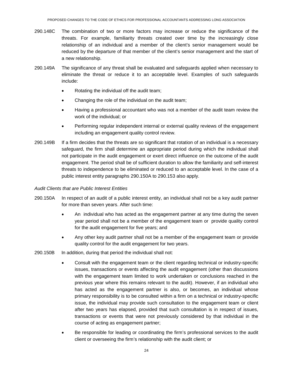- 290.148C The combination of two or more factors may increase or reduce the significance of the threats. For example, familiarity threats created over time by the increasingly close relationship of an individual and a member of the client's senior management would be reduced by the departure of that member of the client's senior management and the start of a new relationship.
- 290.149A The significance of any threat shall be evaluated and safeguards applied when necessary to eliminate the threat or reduce it to an acceptable level. Examples of such safeguards include:
	- Rotating the individual off the audit team;
	- Changing the role of the individual on the audit team;
	- Having a professional accountant who was not a member of the audit team review the work of the individual; or
	- Performing regular independent internal or external quality reviews of the engagement including an engagement quality control review.
- 290.149B If a firm decides that the threats are so significant that rotation of an individual is a necessary safeguard, the firm shall determine an appropriate period during which the individual shall not participate in the audit engagement or exert direct influence on the outcome of the audit engagement. The period shall be of sufficient duration to allow the familiarity and self-interest threats to independence to be eliminated or reduced to an acceptable level. In the case of a public interest entity paragraphs 290.150A to 290.153 also apply.

#### *Audit Clients that are Public Interest Entities*

- 290.150A In respect of an audit of a public interest entity, an individual shall not be a key audit partner for more than seven years. After such time:
	- An individual who has acted as the engagement partner at any time during the seven year period shall not be a member of the engagement team or provide quality control for the audit engagement for five years; and
	- Any other key audit partner shall not be a member of the engagement team or provide quality control for the audit engagement for two years.
- 290.150B In addition, during that period the individual shall not:
	- Consult with the engagement team or the client regarding technical or industry-specific issues, transactions or events affecting the audit engagement (other than discussions with the engagement team limited to work undertaken or conclusions reached in the previous year where this remains relevant to the audit). However, if an individual who has acted as the engagement partner is also, or becomes, an individual whose primary responsibility is to be consulted within a firm on a technical or industry-specific issue, the individual may provide such consultation to the engagement team or client after two years has elapsed, provided that such consultation is in respect of issues, transactions or events that were not previously considered by that individual in the course of acting as engagement partner;
	- Be responsible for leading or coordinating the firm's professional services to the audit client or overseeing the firm's relationship with the audit client; or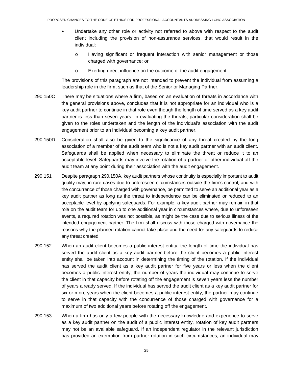- Undertake any other role or activity not referred to above with respect to the audit client including the provision of non-assurance services, that would result in the individual:
	- o Having significant or frequent interaction with senior management or those charged with governance; or
	- o Exerting direct influence on the outcome of the audit engagement.

The provisions of this paragraph are not intended to prevent the individual from assuming a leadership role in the firm, such as that of the Senior or Managing Partner.

- 290.150C There may be situations where a firm, based on an evaluation of threats in accordance with the general provisions above, concludes that it is not appropriate for an individual who is a key audit partner to continue in that role even though the length of time served as a key audit partner is less than seven years. In evaluating the threats, particular consideration shall be given to the roles undertaken and the length of the individual's association with the audit engagement prior to an individual becoming a key audit partner.
- 290.150D Consideration shall also be given to the significance of any threat created by the long association of a member of the audit team who is not a key audit partner with an audit client. Safeguards shall be applied when necessary to eliminate the threat or reduce it to an acceptable level. Safeguards may involve the rotation of a partner or other individual off the audit team at any point during their association with the audit engagement.
- 290.151 Despite paragraph 290.150A, key audit partners whose continuity is especially important to audit quality may, in rare cases due to unforeseen circumstances outside the firm's control, and with the concurrence of those charged with governance, be permitted to serve an additional year as a key audit partner as long as the threat to independence can be eliminated or reduced to an acceptable level by applying safeguards. For example, a key audit partner may remain in that role on the audit team for up to one additional year in circumstances where, due to unforeseen events, a required rotation was not possible, as might be the case due to serious illness of the intended engagement partner. The firm shall discuss with those charged with governance the reasons why the planned rotation cannot take place and the need for any safeguards to reduce any threat created.
- 290.152 When an audit client becomes a public interest entity, the length of time the individual has served the audit client as a key audit partner before the client becomes a public interest entity shall be taken into account in determining the timing of the rotation. If the individual has served the audit client as a key audit partner for five years or less when the client becomes a public interest entity, the number of years the individual may continue to serve the client in that capacity before rotating off the engagement is seven years less the number of years already served. If the individual has served the audit client as a key audit partner for six or more years when the client becomes a public interest entity, the partner may continue to serve in that capacity with the concurrence of those charged with governance for a maximum of two additional years before rotating off the engagement.
- 290.153 When a firm has only a few people with the necessary knowledge and experience to serve as a key audit partner on the audit of a public interest entity, rotation of key audit partners may not be an available safeguard. If an independent regulator in the relevant jurisdiction has provided an exemption from partner rotation in such circumstances, an individual may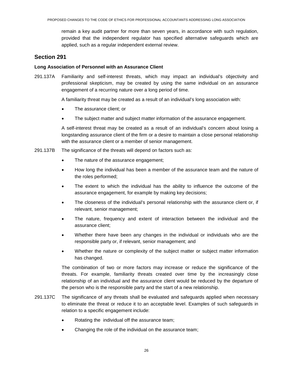remain a key audit partner for more than seven years, in accordance with such regulation, provided that the independent regulator has specified alternative safeguards which are applied, such as a regular independent external review.

# **Section 291**

#### **Long Association of Personnel with an Assurance Client**

291.137A Familiarity and self-interest threats, which may impact an individual's objectivity and professional skepticism, may be created by using the same individual on an assurance engagement of a recurring nature over a long period of time.

A familiarity threat may be created as a result of an individual's long association with:

- The assurance client; or
- The subject matter and subject matter information of the assurance engagement.

A self-interest threat may be created as a result of an individual's concern about losing a longstanding assurance client of the firm or a desire to maintain a close personal relationship with the assurance client or a member of senior management.

- 291.137B The significance of the threats will depend on factors such as:
	- The nature of the assurance engagement;
	- How long the individual has been a member of the assurance team and the nature of the roles performed;
	- The extent to which the individual has the ability to influence the outcome of the assurance engagement, for example by making key decisions;
	- The closeness of the individual's personal relationship with the assurance client or, if relevant, senior management;
	- The nature, frequency and extent of interaction between the individual and the assurance client;
	- Whether there have been any changes in the individual or individuals who are the responsible party or, if relevant, senior management; and
	- Whether the nature or complexity of the subject matter or subject matter information has changed.

The combination of two or more factors may increase or reduce the significance of the threats. For example, familiarity threats created over time by the increasingly close relationship of an individual and the assurance client would be reduced by the departure of the person who is the responsible party and the start of a new relationship.

- 291.137C The significance of any threats shall be evaluated and safeguards applied when necessary to eliminate the threat or reduce it to an acceptable level. Examples of such safeguards in relation to a specific engagement include:
	- Rotating the individual off the assurance team;
	- Changing the role of the individual on the assurance team;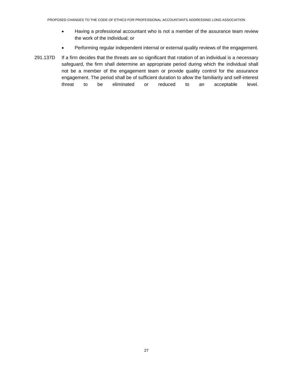- Having a professional accountant who is not a member of the assurance team review the work of the individual; or
- Performing regular independent internal or external quality reviews of the engagement.
- 291.137D If a firm decides that the threats are so significant that rotation of an individual is a necessary safeguard, the firm shall determine an appropriate period during which the individual shall not be a member of the engagement team or provide quality control for the assurance engagement. The period shall be of sufficient duration to allow the familiarity and self-interest threat to be eliminated or reduced to an acceptable level.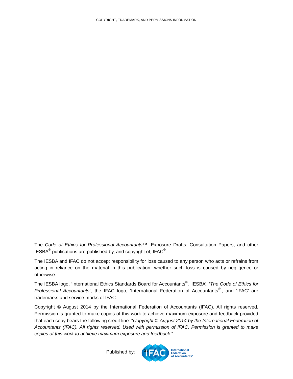<span id="page-27-0"></span>The *Code of Ethics for Professional Accountants™*, Exposure Drafts, Consultation Papers, and other IESBA<sup>®</sup> publications are published by, and copyright of, IFAC<sup>®</sup>.

The IESBA and IFAC do not accept responsibility for loss caused to any person who acts or refrains from acting in reliance on the material in this publication, whether such loss is caused by negligence or otherwise.

The IESBA logo, 'International Ethics Standards Board for Accountants® , 'IESBA', '*The Code of Ethics for*  Professional Accountants', the IFAC logo, 'International Federation of Accountants<sup>®</sup>', and 'IFAC' are trademarks and service marks of IFAC.

Copyright © August 2014 by the International Federation of Accountants (IFAC). All rights reserved. Permission is granted to make copies of this work to achieve maximum exposure and feedback provided that each copy bears the following credit line: "*Copyright © August 2014 by the International Federation of Accountants (IFAC). All rights reserved. Used with permission of IFAC. Permission is granted to make copies of this work to achieve maximum exposure and feedback*."

> **International** Federation<br>of Accountants®